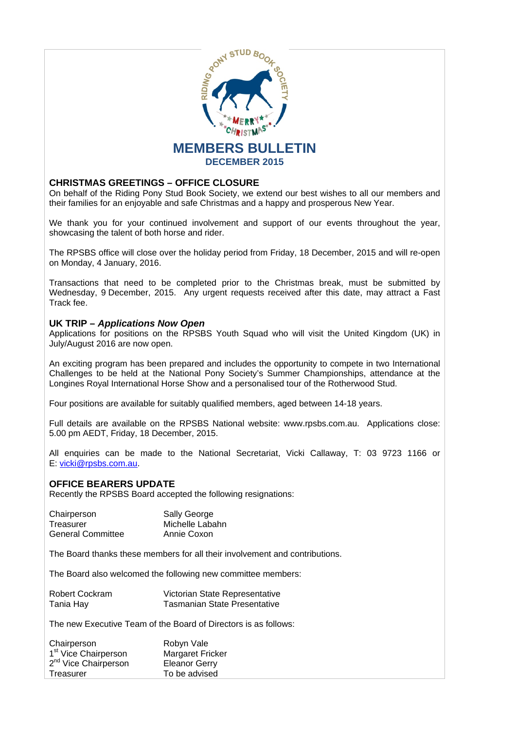

# **CHRISTMAS GREETINGS – OFFICE CLOSURE**

On behalf of the Riding Pony Stud Book Society, we extend our best wishes to all our members and their families for an enjoyable and safe Christmas and a happy and prosperous New Year.

We thank you for your continued involvement and support of our events throughout the year, showcasing the talent of both horse and rider.

The RPSBS office will close over the holiday period from Friday, 18 December, 2015 and will re-open on Monday, 4 January, 2016.

Transactions that need to be completed prior to the Christmas break, must be submitted by Wednesday, 9 December, 2015. Any urgent requests received after this date, may attract a Fast Track fee.

### **UK TRIP –** *Applications Now Open*

Applications for positions on the RPSBS Youth Squad who will visit the United Kingdom (UK) in July/August 2016 are now open.

An exciting program has been prepared and includes the opportunity to compete in two International Challenges to be held at the National Pony Society's Summer Championships, attendance at the Longines Royal International Horse Show and a personalised tour of the Rotherwood Stud.

Four positions are available for suitably qualified members, aged between 14-18 years.

Full details are available on the RPSBS National website: www.rpsbs.com.au. Applications close: 5.00 pm AEDT, Friday, 18 December, 2015.

All enquiries can be made to the National Secretariat, Vicki Callaway, T: 03 9723 1166 or E: vicki@rpsbs.com.au.

# **OFFICE BEARERS UPDATE**

Recently the RPSBS Board accepted the following resignations:

| Chairperson       | Sally George    |
|-------------------|-----------------|
| Treasurer         | Michelle Labahn |
| General Committee | Annie Coxon     |

The Board thanks these members for all their involvement and contributions.

The Board also welcomed the following new committee members:

| Robert Cockram | Victorian State Representative      |
|----------------|-------------------------------------|
| Tania Hay      | <b>Tasmanian State Presentative</b> |

The new Executive Team of the Board of Directors is as follows:

| Chairperson                      | Robyn Vale              |
|----------------------------------|-------------------------|
| 1 <sup>st</sup> Vice Chairperson | <b>Margaret Fricker</b> |
| 2 <sup>nd</sup> Vice Chairperson | <b>Eleanor Gerry</b>    |
| Treasurer                        | To be advised           |